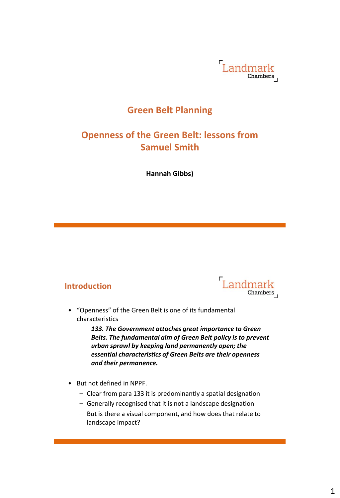

# **Green Belt Planning**

# **Openness of the Green Belt: lessons from Samuel Smith**

**Hannah Gibbs)**

#### **Introduction**



• "Openness" of the Green Belt is one of its fundamental characteristics

> *133. The Government attaches great importance to Green Belts. The fundamental aim of Green Belt policy is to prevent urban sprawl by keeping land permanently open; the essential characteristics of Green Belts are their openness and their permanence.*

- But not defined in NPPF.
	- Clear from para 133 it is predominantly a spatial designation
	- Generally recognised that it is not a landscape designation
	- But is there a visual component, and how does that relate to landscape impact?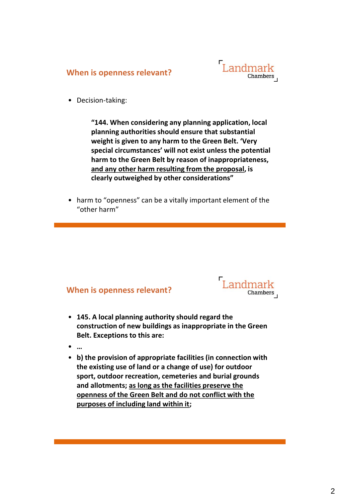



• Decision-taking:

**"144. When considering any planning application, local planning authorities should ensure that substantial weight is given to any harm to the Green Belt. 'Very special circumstances' will not exist unless the potential harm to the Green Belt by reason of inappropriateness, and any other harm resulting from the proposal, is clearly outweighed by other considerations"**

• harm to "openness" can be a vitally important element of the "other harm"

#### **When is openness relevant?**



- **145. A local planning authority should regard the construction of new buildings as inappropriate in the Green Belt. Exceptions to this are:**
- **…**
- **b) the provision of appropriate facilities (in connection with the existing use of land or a change of use) for outdoor sport, outdoor recreation, cemeteries and burial grounds and allotments; as long as the facilities preserve the openness of the Green Belt and do not conflict with the purposes of including land within it;**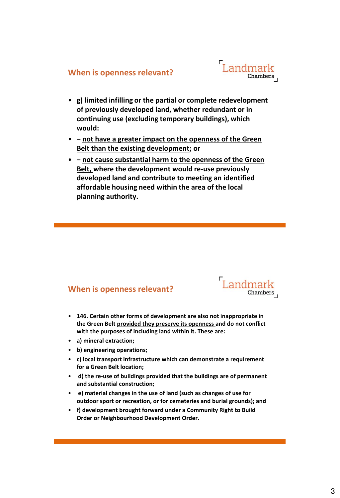

- **g) limited infilling or the partial or complete redevelopment of previously developed land, whether redundant or in continuing use (excluding temporary buildings), which would:**
- **‒ not have a greater impact on the openness of the Green Belt than the existing development; or**
- **‒ not cause substantial harm to the openness of the Green Belt, where the development would re-use previously developed land and contribute to meeting an identified affordable housing need within the area of the local planning authority.**

#### **When is openness relevant?**



- **146. Certain other forms of development are also not inappropriate in the Green Belt provided they preserve its openness and do not conflict with the purposes of including land within it. These are:**
- **a) mineral extraction;**
- **b) engineering operations;**
- **c) local transport infrastructure which can demonstrate a requirement for a Green Belt location;**
- **d) the re-use of buildings provided that the buildings are of permanent and substantial construction;**
- **e) material changes in the use of land (such as changes of use for outdoor sport or recreation, or for cemeteries and burial grounds); and**
- **f) development brought forward under a Community Right to Build Order or Neighbourhood Development Order.**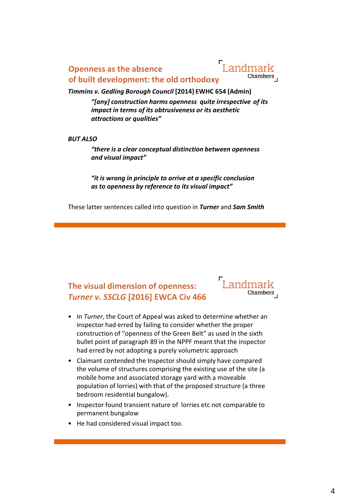## **Openness as the absence of built development: the old orthodoxy**



#### *Timmins v. Gedling Borough Council* **[2014] EWHC 654 (Admin)**

*"[any] construction harms openness quite irrespective of its impact in terms of its obtrusiveness or its aesthetic attractions or qualities"*

#### *BUT ALSO*

*"there is a clear conceptual distinction between openness and visual impact"*

*"it is wrong in principle to arrive at a specific conclusion as to openness by reference to its visual impact"*

These latter sentences called into question in *Turner* and *Sam Smith*

# **The visual dimension of openness:** *Turner v. SSCLG* **[2016] EWCA Civ 466**



- In *Turner*, the Court of Appeal was asked to determine whether an inspector had erred by failing to consider whether the proper construction of "openness of the Green Belt" as used in the sixth bullet point of paragraph 89 in the NPPF meant that the inspector had erred by not adopting a purely volumetric approach
- Claimant contended the Inspector should simply have compared the volume of structures comprising the existing use of the site (a mobile home and associated storage yard with a moveable population of lorries) with that of the proposed structure (a three bedroom residential bungalow).
- Inspector found transient nature of lorries etc not comparable to permanent bungalow
- He had considered visual impact too.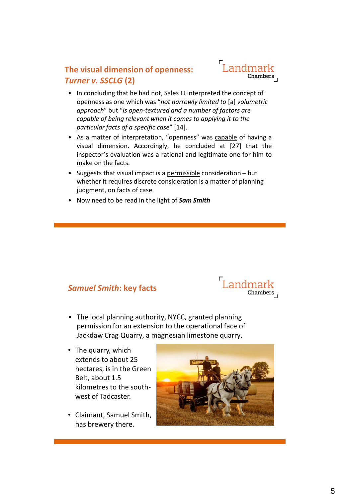# **The visual dimension of openness:** *Turner v. SSCLG* **(2)**



- In concluding that he had not, Sales LJ interpreted the concept of openness as one which was "*not narrowly limited to* [a] *volumetric approach*" but "*is open-textured and a number of factors are capable of being relevant when it comes to applying it to the particular facts of a specific case*" [14].
- As a matter of interpretation, "openness" was capable of having a visual dimension. Accordingly, he concluded at [27] that the inspector's evaluation was a rational and legitimate one for him to make on the facts.
- Suggests that visual impact is a permissible consideration but whether it requires discrete consideration is a matter of planning judgment, on facts of case
- Now need to be read in the light of *Sam Smith*

### *Samuel Smith***: key facts**



- The local planning authority, NYCC, granted planning permission for an extension to the operational face of Jackdaw Crag Quarry, a magnesian limestone quarry.
- The quarry, which extends to about 25 hectares, is in the Green Belt, about 1.5 kilometres to the southwest of Tadcaster.
- Claimant, Samuel Smith, has brewery there.

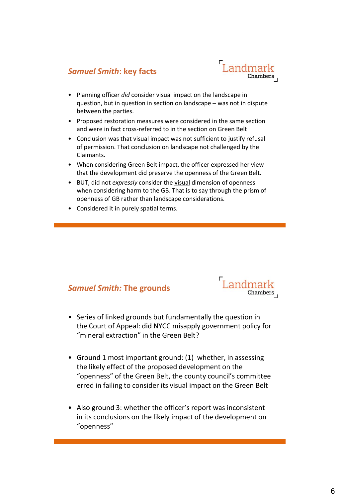### *Samuel Smith***: key facts**



- Planning officer *did* consider visual impact on the landscape in question, but in question in section on landscape – was not in dispute between the parties.
- Proposed restoration measures were considered in the same section and were in fact cross-referred to in the section on Green Belt
- Conclusion was that visual impact was not sufficient to justify refusal of permission. That conclusion on landscape not challenged by the Claimants.
- When considering Green Belt impact, the officer expressed her view that the development did preserve the openness of the Green Belt.
- BUT, did not *expressly* consider the visual dimension of openness when considering harm to the GB. That is to say through the prism of openness of GB rather than landscape considerations.
- Considered it in purely spatial terms.

#### *Samuel Smith:* **The grounds**



- Series of linked grounds but fundamentally the question in the Court of Appeal: did NYCC misapply government policy for "mineral extraction" in the Green Belt?
- Ground 1 most important ground: (1) whether, in assessing the likely effect of the proposed development on the "openness" of the Green Belt, the county council's committee erred in failing to consider its visual impact on the Green Belt
- Also ground 3: whether the officer's report was inconsistent in its conclusions on the likely impact of the development on "openness"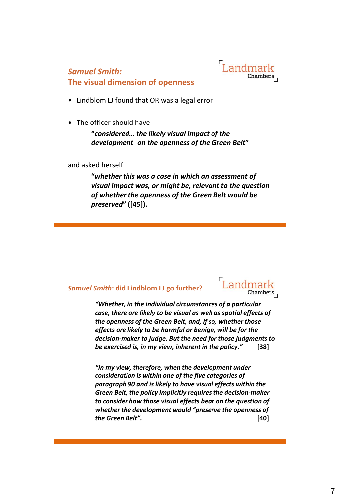

# *Samuel Smith:*

**The visual dimension of openness**

- Lindblom LJ found that OR was a legal error
- The officer should have

**"***considered… the likely visual impact of the development on the openness of the Green Belt***"** 

and asked herself

**"***whether this was a case in which an assessment of visual impact was, or might be, relevant to the question of whether the openness of the Green Belt would be preserved***" ([45]).** 

#### *Samuel Smith***: did Lindblom LJ go further?**



*"Whether, in the individual circumstances of a particular case, there are likely to be visual as well as spatial effects of the openness of the Green Belt, and, if so, whether those effects are likely to be harmful or benign, will be for the decision-maker to judge. But the need for those judgments to be exercised is, in my view, inherent in the policy."* **[38]**

*"In my view, therefore, when the development under consideration is within one of the five categories of paragraph 90 and is likely to have visual effects within the Green Belt, the policy implicitly requires the decision-maker to consider how those visual effects bear on the question of whether the development would "preserve the openness of the Green Belt".* **[40]**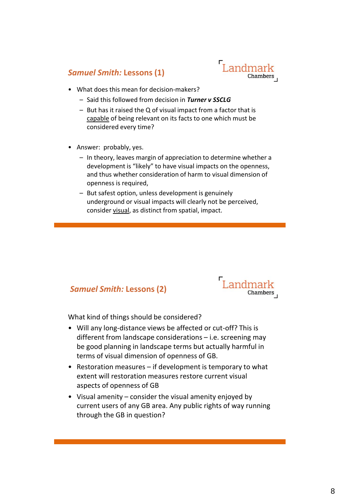## *Samuel Smith:* **Lessons (1)**



- What does this mean for decision-makers?
	- Said this followed from decision in *Turner v SSCLG*
	- But has it raised the Q of visual impact from a factor that is capable of being relevant on its facts to one which must be considered every time?
- Answer: probably, yes.
	- In theory, leaves margin of appreciation to determine whether a development is "likely" to have visual impacts on the openness, and thus whether consideration of harm to visual dimension of openness is required,
	- But safest option, unless development is genuinely underground or visual impacts will clearly not be perceived, consider visual, as distinct from spatial, impact.

## *Samuel Smith:* **Lessons (2)**



What kind of things should be considered?

- Will any long-distance views be affected or cut-off? This is different from landscape considerations – i.e. screening may be good planning in landscape terms but actually harmful in terms of visual dimension of openness of GB.
- Restoration measures if development is temporary to what extent will restoration measures restore current visual aspects of openness of GB
- Visual amenity consider the visual amenity enjoyed by current users of any GB area. Any public rights of way running through the GB in question?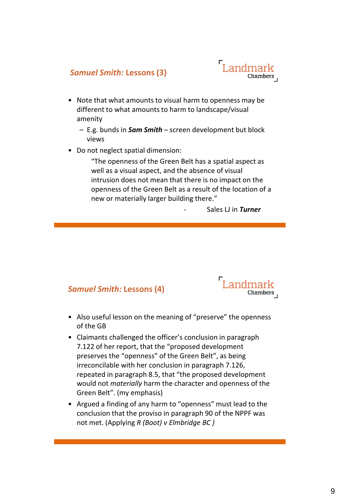## *Samuel Smith:* **Lessons (3)**



- Note that what amounts to visual harm to openness may be different to what amounts to harm to landscape/visual amenity
	- E.g. bunds in *Sam Smith* screen development but block views
- Do not neglect spatial dimension:

"The openness of the Green Belt has a spatial aspect as well as a visual aspect, and the absence of visual intrusion does not mean that there is no impact on the openness of the Green Belt as a result of the location of a new or materially larger building there."

- Sales LJ in *Turner*

### *Samuel Smith:* **Lessons (4)**



- Also useful lesson on the meaning of "preserve" the openness of the GB
- Claimants challenged the officer's conclusion in paragraph 7.122 of her report, that the "proposed development preserves the "openness" of the Green Belt", as being irreconcilable with her conclusion in paragraph 7.126, repeated in paragraph 8.5, that "the proposed development would not *materially* harm the character and openness of the Green Belt". (my emphasis)
- Argued a finding of any harm to "openness" must lead to the conclusion that the proviso in paragraph 90 of the NPPF was not met. (Applying *R (Boot) v Elmbridge BC )*